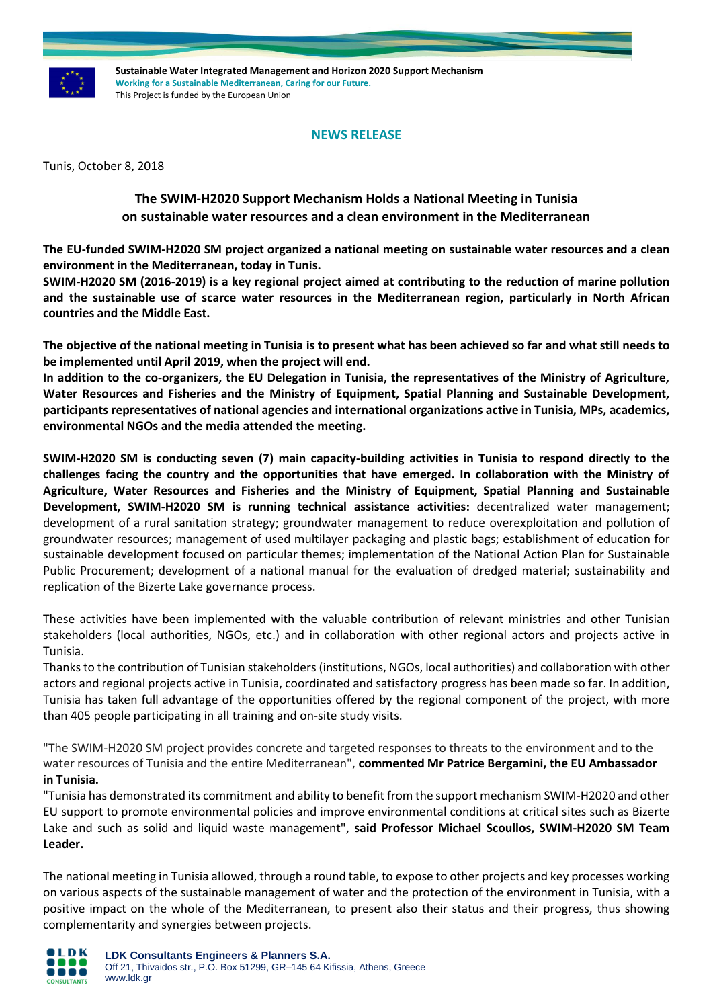

**Sustainable Water Integrated Management and Horizon 2020 Support Mechanism Working for a Sustainable Mediterranean, Caring for our Future.**  This Project is funded by the European Union

## **NEWS RELEASE**

Tunis, October 8, 2018

# **The SWIM-H2020 Support Mechanism Holds a National Meeting in Tunisia on sustainable water resources and a clean environment in the Mediterranean**

**The EU-funded SWIM-H2020 SM project organized a national meeting on sustainable water resources and a clean environment in the Mediterranean, today in Tunis.**

**SWIM-H2020 SM (2016-2019) is a key regional project aimed at contributing to the reduction of marine pollution and the sustainable use of scarce water resources in the Mediterranean region, particularly in North African countries and the Middle East.**

**The objective of the national meeting in Tunisia is to present what has been achieved so far and what still needs to be implemented until April 2019, when the project will end.**

**In addition to the co-organizers, the EU Delegation in Tunisia, the representatives of the Ministry of Agriculture, Water Resources and Fisheries and the Ministry of Equipment, Spatial Planning and Sustainable Development, participants representatives of national agencies and international organizations active in Tunisia, MPs, academics, environmental NGOs and the media attended the meeting.**

**SWIM-H2020 SM is conducting seven (7) main capacity-building activities in Tunisia to respond directly to the challenges facing the country and the opportunities that have emerged. In collaboration with the Ministry of Agriculture, Water Resources and Fisheries and the Ministry of Equipment, Spatial Planning and Sustainable Development, SWIM-H2020 SM is running technical assistance activities:** decentralized water management; development of a rural sanitation strategy; groundwater management to reduce overexploitation and pollution of groundwater resources; management of used multilayer packaging and plastic bags; establishment of education for sustainable development focused on particular themes; implementation of the National Action Plan for Sustainable Public Procurement; development of a national manual for the evaluation of dredged material; sustainability and replication of the Bizerte Lake governance process.

These activities have been implemented with the valuable contribution of relevant ministries and other Tunisian stakeholders (local authorities, NGOs, etc.) and in collaboration with other regional actors and projects active in Tunisia.

Thanks to the contribution of Tunisian stakeholders (institutions, NGOs, local authorities) and collaboration with other actors and regional projects active in Tunisia, coordinated and satisfactory progress has been made so far. In addition, Tunisia has taken full advantage of the opportunities offered by the regional component of the project, with more than 405 people participating in all training and on-site study visits.

"The SWIM-H2020 SM project provides concrete and targeted responses to threats to the environment and to the water resources of Tunisia and the entire Mediterranean", **commented Mr Patrice Bergamini, the EU Ambassador in Tunisia.**

"Tunisia has demonstrated its commitment and ability to benefit from the support mechanism SWIM-H2020 and other EU support to promote environmental policies and improve environmental conditions at critical sites such as Bizerte Lake and such as solid and liquid waste management", **said Professor Michael Scoullos, SWIM-H2020 SM Team Leader.**

The national meeting in Tunisia allowed, through a round table, to expose to other projects and key processes working on various aspects of the sustainable management of water and the protection of the environment in Tunisia, with a positive impact on the whole of the Mediterranean, to present also their status and their progress, thus showing complementarity and synergies between projects.